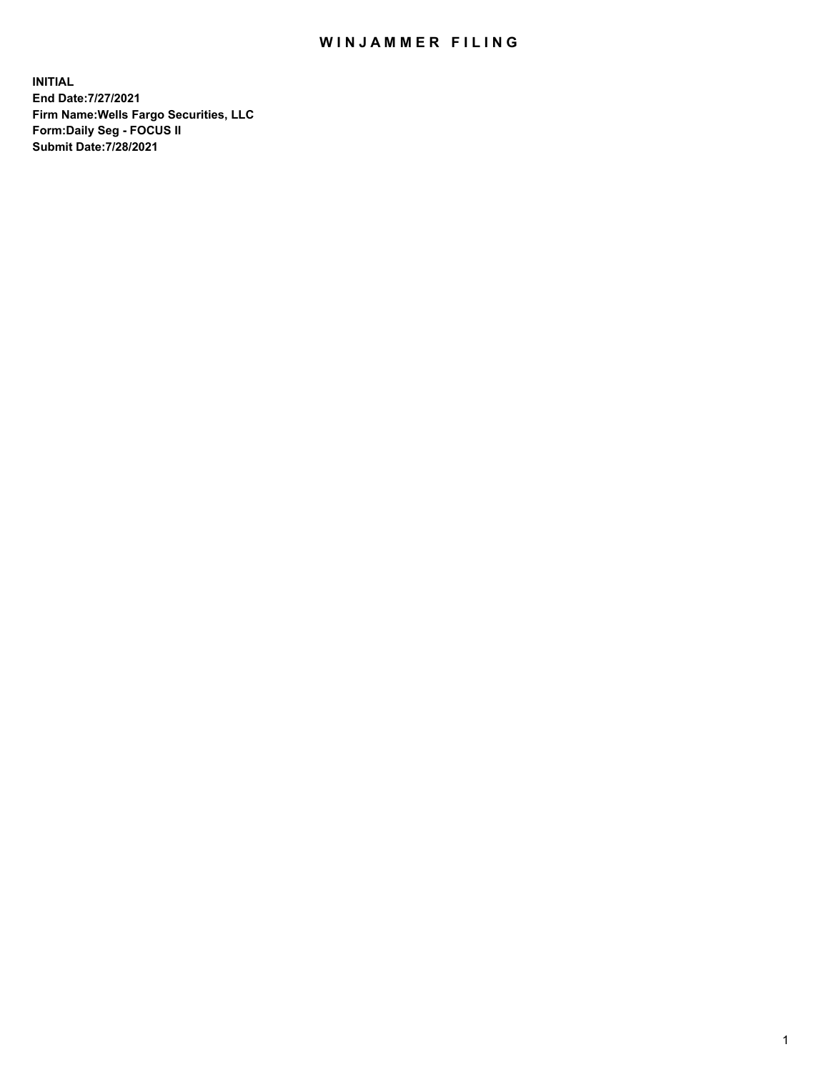## WIN JAMMER FILING

**INITIAL End Date:7/27/2021 Firm Name:Wells Fargo Securities, LLC Form:Daily Seg - FOCUS II Submit Date:7/28/2021**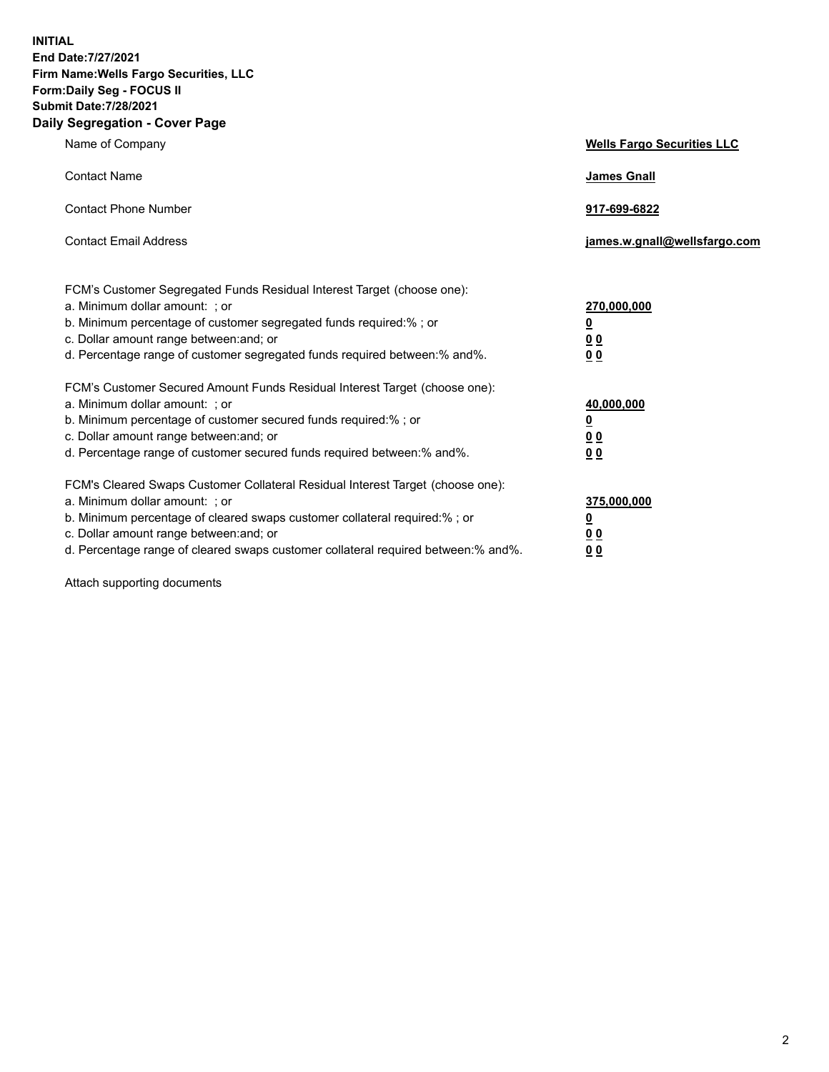**INITIAL End Date:7/27/2021 Firm Name:Wells Fargo Securities, LLC Form:Daily Seg - FOCUS II Submit Date:7/28/2021 Daily Segregation - Cover Page**

| Name of Company                                                                                                                                                                                                                                                                                                                | <b>Wells Fargo Securities LLC</b>                                         |
|--------------------------------------------------------------------------------------------------------------------------------------------------------------------------------------------------------------------------------------------------------------------------------------------------------------------------------|---------------------------------------------------------------------------|
| <b>Contact Name</b>                                                                                                                                                                                                                                                                                                            | <b>James Gnall</b>                                                        |
| <b>Contact Phone Number</b>                                                                                                                                                                                                                                                                                                    | 917-699-6822                                                              |
| <b>Contact Email Address</b>                                                                                                                                                                                                                                                                                                   | james.w.gnall@wellsfargo.com                                              |
| FCM's Customer Segregated Funds Residual Interest Target (choose one):<br>a. Minimum dollar amount: ; or<br>b. Minimum percentage of customer segregated funds required:% ; or<br>c. Dollar amount range between: and; or<br>d. Percentage range of customer segregated funds required between:% and%.                         | 270,000,000<br>$\overline{\mathbf{0}}$<br>0 <sub>0</sub><br>00            |
| FCM's Customer Secured Amount Funds Residual Interest Target (choose one):<br>a. Minimum dollar amount: ; or<br>b. Minimum percentage of customer secured funds required:%; or<br>c. Dollar amount range between: and; or<br>d. Percentage range of customer secured funds required between:% and%.                            | 40,000,000<br>$\overline{\mathbf{0}}$<br>0 <sub>0</sub><br>0 <sub>0</sub> |
| FCM's Cleared Swaps Customer Collateral Residual Interest Target (choose one):<br>a. Minimum dollar amount: ; or<br>b. Minimum percentage of cleared swaps customer collateral required:% ; or<br>c. Dollar amount range between: and; or<br>d. Percentage range of cleared swaps customer collateral required between:% and%. | 375,000,000<br><u>0</u><br>00<br>00                                       |

Attach supporting documents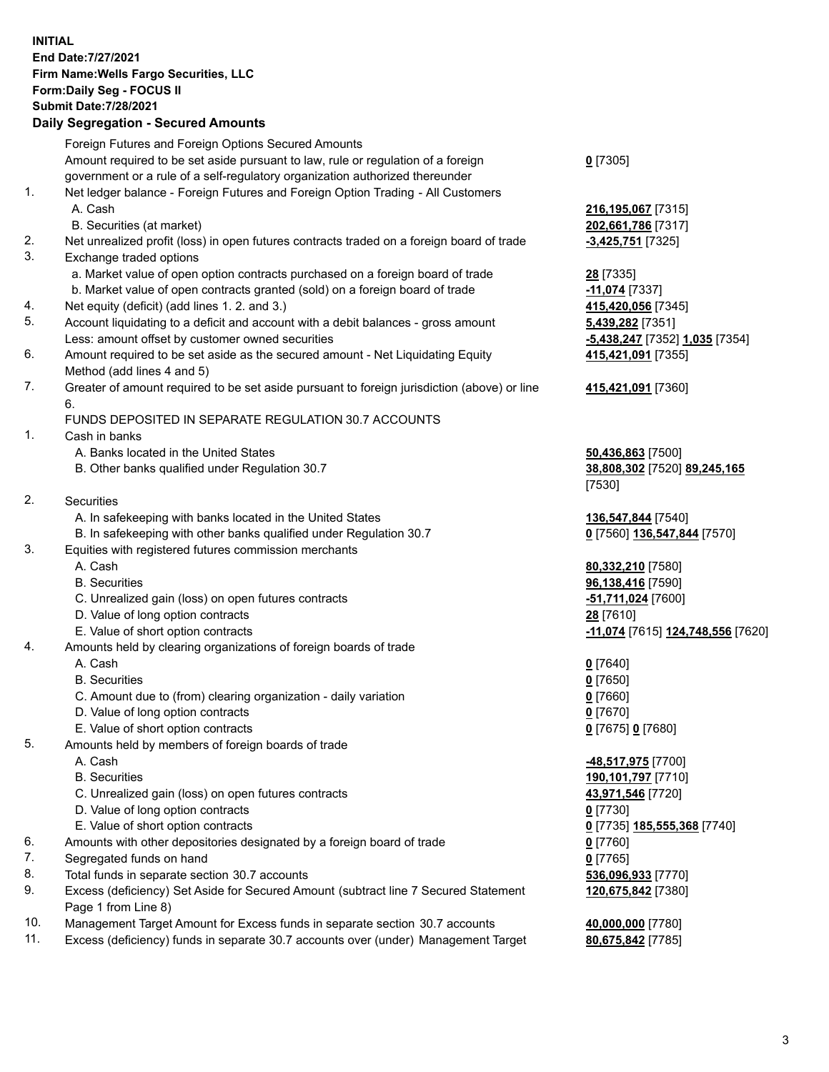**INITIAL End Date:7/27/2021 Firm Name:Wells Fargo Securities, LLC Form:Daily Seg - FOCUS II Submit Date:7/28/2021**

## **Daily Segregation - Secured Amounts** Foreign Futures and Foreign Options Secured Amounts Amount required to be set aside pursuant to law, rule or regulation of a foreign government or a rule of a self-regulatory organization authorized thereunder 1. Net ledger balance - Foreign Futures and Foreign Option Trading - All Customers A. Cash **216,195,067** [7315] B. Securities (at market) **202,661,786** [7317] 2. Net unrealized profit (loss) in open futures contracts traded on a foreign board of trade **-3,425,751** [7325] 3. Exchange traded options a. Market value of open option contracts purchased on a foreign board of trade **28** [7335] b. Market value of open contracts granted (sold) on a foreign board of trade **-11,074** [7337] 4. Net equity (deficit) (add lines 1. 2. and 3.) **415,420,056** [7345] 5. Account liquidating to a deficit and account with a debit balances - gross amount **5,439,282** [7351] Less: amount offset by customer owned securities **-5,438,247** [7352] **1,035** [7354] 6. Amount required to be set aside as the secured amount - Net Liquidating Equity Method (add lines 4 and 5) 7. Greater of amount required to be set aside pursuant to foreign jurisdiction (above) or line 6. FUNDS DEPOSITED IN SEPARATE REGULATION 30.7 ACCOUNTS 1. Cash in banks A. Banks located in the United States **50,436,863** [7500] B. Other banks qualified under Regulation 30.7 **38,808,302** [7520] **89,245,165** 2. Securities A. In safekeeping with banks located in the United States **136,547,844** [7540] B. In safekeeping with other banks qualified under Regulation 30.7 **0** [7560] **136,547,844** [7570] 3. Equities with registered futures commission merchants A. Cash **80,332,210** [7580] B. Securities **96,138,416** [7590] C. Unrealized gain (loss) on open futures contracts **-51,711,024** [7600] D. Value of long option contracts **28** [7610] E. Value of short option contracts **-11,074** [7615] **124,748,556** [7620] 4. Amounts held by clearing organizations of foreign boards of trade A. Cash **0** [7640] B. Securities **0** [7650]

- C. Amount due to (from) clearing organization daily variation **0** [7660]
- D. Value of long option contracts **0** [7670]
- E. Value of short option contracts **0** [7675] **0** [7680]
- 5. Amounts held by members of foreign boards of trade
	-
	-
	- C. Unrealized gain (loss) on open futures contracts **43,971,546** [7720]
	- D. Value of long option contracts **0** [7730]
	- E. Value of short option contracts **0** [7735] **185,555,368** [7740]
- 6. Amounts with other depositories designated by a foreign board of trade **0** [7760]
- 7. Segregated funds on hand **0** [7765]
- 8. Total funds in separate section 30.7 accounts **536,096,933** [7770]
- 9. Excess (deficiency) Set Aside for Secured Amount (subtract line 7 Secured Statement Page 1 from Line 8)
- 10. Management Target Amount for Excess funds in separate section 30.7 accounts **40,000,000** [7780]
- 11. Excess (deficiency) funds in separate 30.7 accounts over (under) Management Target **80,675,842** [7785]

**0** [7305]

**415,421,091** [7355]

## **415,421,091** [7360]

[7530]

 A. Cash **-48,517,975** [7700] B. Securities **190,101,797** [7710] **120,675,842** [7380]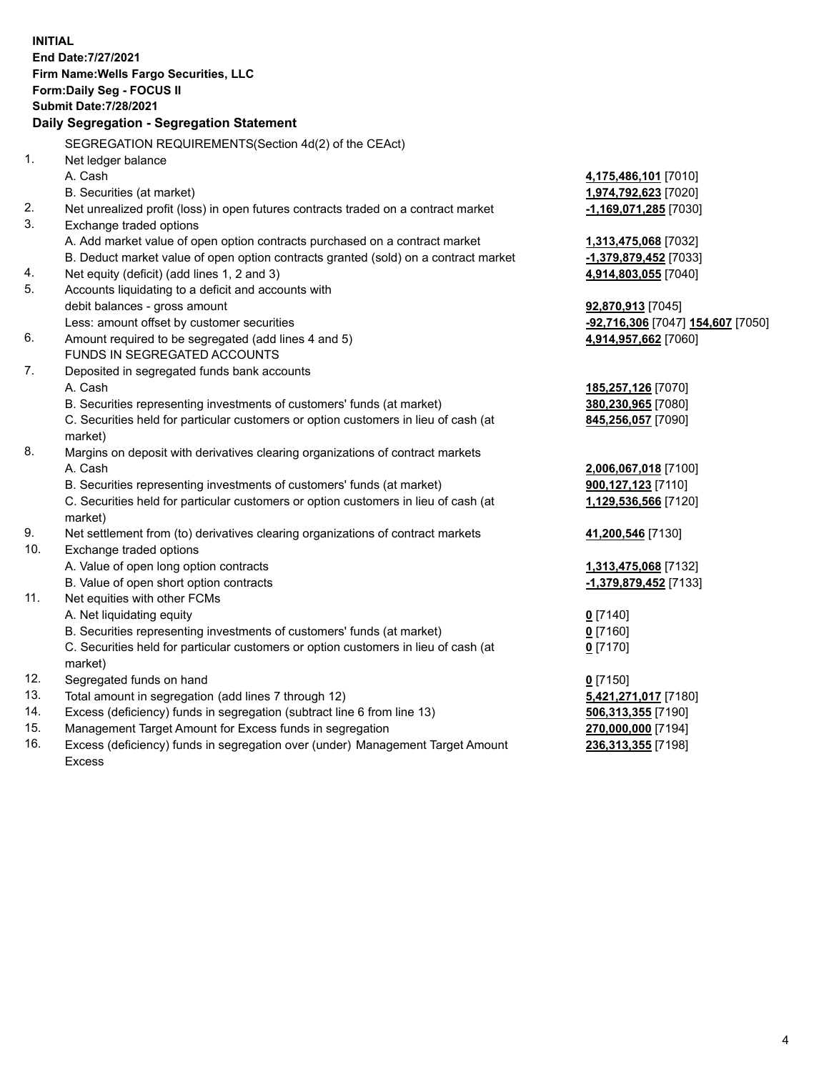**INITIAL End Date:7/27/2021 Firm Name:Wells Fargo Securities, LLC Form:Daily Seg - FOCUS II Submit Date:7/28/2021 Daily Segregation - Segregation Statement** SEGREGATION REQUIREMENTS(Section 4d(2) of the CEAct) 1. Net ledger balance A. Cash **4,175,486,101** [7010] B. Securities (at market) **1,974,792,623** [7020] 2. Net unrealized profit (loss) in open futures contracts traded on a contract market **-1,169,071,285** [7030] 3. Exchange traded options A. Add market value of open option contracts purchased on a contract market **1,313,475,068** [7032] B. Deduct market value of open option contracts granted (sold) on a contract market **-1,379,879,452** [7033] 4. Net equity (deficit) (add lines 1, 2 and 3) **4,914,803,055** [7040] 5. Accounts liquidating to a deficit and accounts with debit balances - gross amount **92,870,913** [7045] Less: amount offset by customer securities **-92,716,306** [7047] **154,607** [7050] 6. Amount required to be segregated (add lines 4 and 5) **4,914,957,662** [7060] FUNDS IN SEGREGATED ACCOUNTS 7. Deposited in segregated funds bank accounts A. Cash **185,257,126** [7070] B. Securities representing investments of customers' funds (at market) **380,230,965** [7080] C. Securities held for particular customers or option customers in lieu of cash (at market) **845,256,057** [7090] 8. Margins on deposit with derivatives clearing organizations of contract markets A. Cash **2,006,067,018** [7100] B. Securities representing investments of customers' funds (at market) **900,127,123** [7110] C. Securities held for particular customers or option customers in lieu of cash (at market) **1,129,536,566** [7120] 9. Net settlement from (to) derivatives clearing organizations of contract markets **41,200,546** [7130] 10. Exchange traded options A. Value of open long option contracts **1,313,475,068** [7132] B. Value of open short option contracts **-1,379,879,452** [7133] 11. Net equities with other FCMs A. Net liquidating equity **0** [7140] B. Securities representing investments of customers' funds (at market) **0** [7160] C. Securities held for particular customers or option customers in lieu of cash (at market) **0** [7170] 12. Segregated funds on hand **0** [7150] 13. Total amount in segregation (add lines 7 through 12) **5,421,271,017** [7180] 14. Excess (deficiency) funds in segregation (subtract line 6 from line 13) **506,313,355** [7190] 15. Management Target Amount for Excess funds in segregation **270,000,000** [7194] **236,313,355** [7198]

16. Excess (deficiency) funds in segregation over (under) Management Target Amount Excess